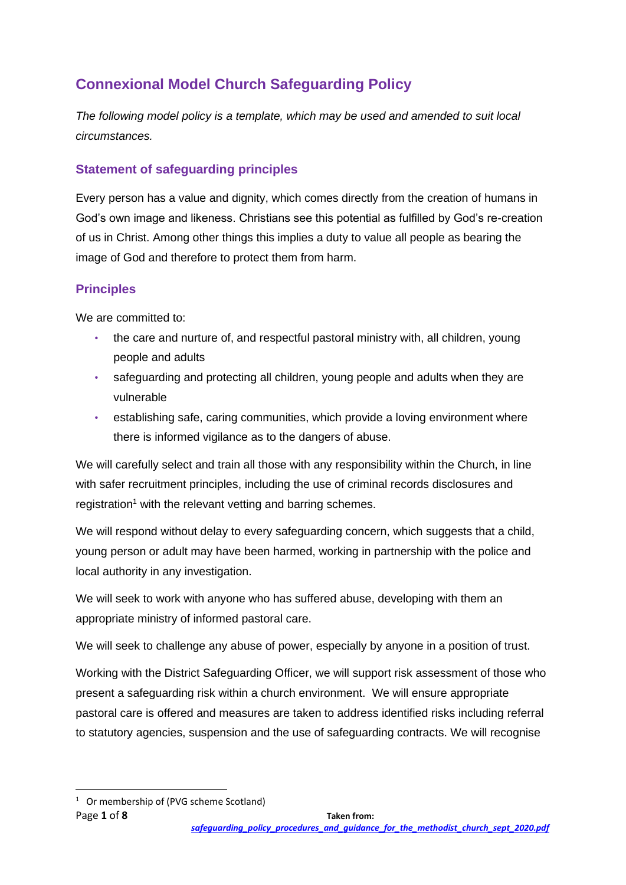# **Connexional Model Church Safeguarding Policy**

*The following model policy is a template, which may be used and amended to suit local circumstances.*

# **Statement of safeguarding principles**

Every person has a value and dignity, which comes directly from the creation of humans in God's own image and likeness. Christians see this potential as fulfilled by God's re-creation of us in Christ. Among other things this implies a duty to value all people as bearing the image of God and therefore to protect them from harm.

### **Principles**

We are committed to:

- the care and nurture of, and respectful pastoral ministry with, all children, young people and adults
- safeguarding and protecting all children, young people and adults when they are vulnerable
- establishing safe, caring communities, which provide a loving environment where there is informed vigilance as to the dangers of abuse.

We will carefully select and train all those with any responsibility within the Church, in line with safer recruitment principles, including the use of criminal records disclosures and registration<sup>1</sup> with the relevant vetting and barring schemes.

We will respond without delay to every safeguarding concern, which suggests that a child, young person or adult may have been harmed, working in partnership with the police and local authority in any investigation.

We will seek to work with anyone who has suffered abuse, developing with them an appropriate ministry of informed pastoral care.

We will seek to challenge any abuse of power, especially by anyone in a position of trust.

Working with the District Safeguarding Officer, we will support risk assessment of those who present a safeguarding risk within a church environment. We will ensure appropriate pastoral care is offered and measures are taken to address identified risks including referral to statutory agencies, suspension and the use of safeguarding contracts. We will recognise

<sup>&</sup>lt;sup>1</sup> Or membership of (PVG scheme Scotland)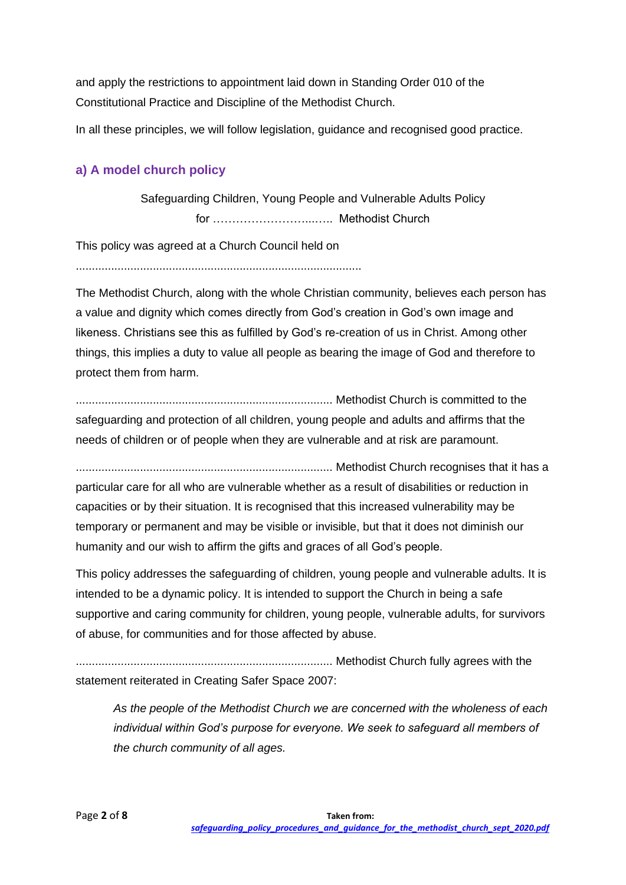and apply the restrictions to appointment laid down in Standing Order 010 of the Constitutional Practice and Discipline of the Methodist Church.

In all these principles, we will follow legislation, guidance and recognised good practice.

### **a) A model church policy**

Safeguarding Children, Young People and Vulnerable Adults Policy for ……………………...….. Methodist Church

This policy was agreed at a Church Council held on

.........................................................................................

The Methodist Church, along with the whole Christian community, believes each person has a value and dignity which comes directly from God's creation in God's own image and likeness. Christians see this as fulfilled by God's re-creation of us in Christ. Among other things, this implies a duty to value all people as bearing the image of God and therefore to protect them from harm.

................................................................................ Methodist Church is committed to the safeguarding and protection of all children, young people and adults and affirms that the needs of children or of people when they are vulnerable and at risk are paramount.

................................................................................ Methodist Church recognises that it has a particular care for all who are vulnerable whether as a result of disabilities or reduction in capacities or by their situation. It is recognised that this increased vulnerability may be temporary or permanent and may be visible or invisible, but that it does not diminish our humanity and our wish to affirm the gifts and graces of all God's people.

This policy addresses the safeguarding of children, young people and vulnerable adults. It is intended to be a dynamic policy. It is intended to support the Church in being a safe supportive and caring community for children, young people, vulnerable adults, for survivors of abuse, for communities and for those affected by abuse.

................................................................................ Methodist Church fully agrees with the statement reiterated in Creating Safer Space 2007:

*As the people of the Methodist Church we are concerned with the wholeness of each individual within God's purpose for everyone. We seek to safeguard all members of the church community of all ages.*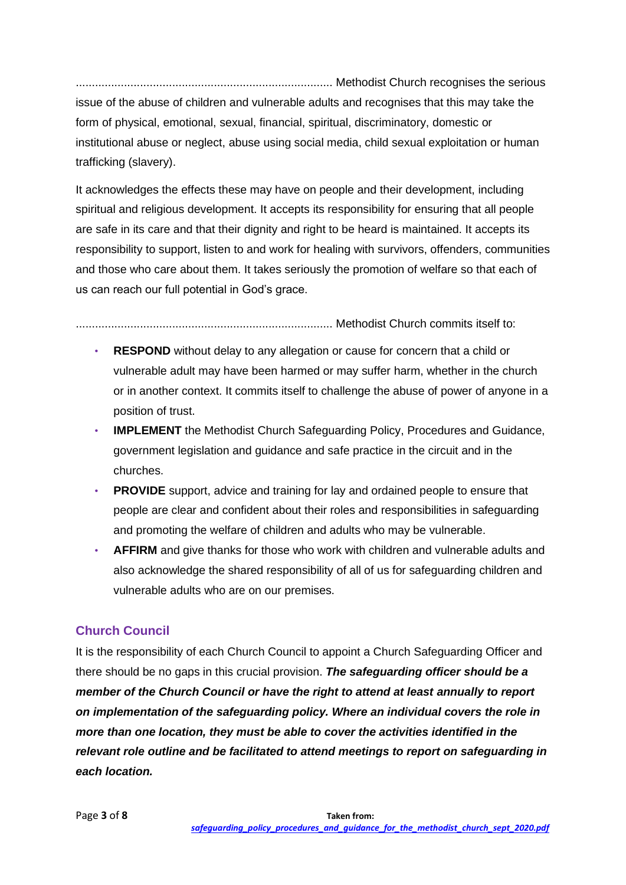................................................................................ Methodist Church recognises the serious issue of the abuse of children and vulnerable adults and recognises that this may take the form of physical, emotional, sexual, financial, spiritual, discriminatory, domestic or institutional abuse or neglect, abuse using social media, child sexual exploitation or human trafficking (slavery).

It acknowledges the effects these may have on people and their development, including spiritual and religious development. It accepts its responsibility for ensuring that all people are safe in its care and that their dignity and right to be heard is maintained. It accepts its responsibility to support, listen to and work for healing with survivors, offenders, communities and those who care about them. It takes seriously the promotion of welfare so that each of us can reach our full potential in God's grace.

................................................................................ Methodist Church commits itself to:

- **RESPOND** without delay to any allegation or cause for concern that a child or vulnerable adult may have been harmed or may suffer harm, whether in the church or in another context. It commits itself to challenge the abuse of power of anyone in a position of trust.
- **IMPLEMENT** the Methodist Church Safeguarding Policy, Procedures and Guidance, government legislation and guidance and safe practice in the circuit and in the churches.
- **PROVIDE** support, advice and training for lay and ordained people to ensure that people are clear and confident about their roles and responsibilities in safeguarding and promoting the welfare of children and adults who may be vulnerable.
- **AFFIRM** and give thanks for those who work with children and vulnerable adults and also acknowledge the shared responsibility of all of us for safeguarding children and vulnerable adults who are on our premises.

# **Church Council**

It is the responsibility of each Church Council to appoint a Church Safeguarding Officer and there should be no gaps in this crucial provision. *The safeguarding officer should be a member of the Church Council or have the right to attend at least annually to report on implementation of the safeguarding policy. Where an individual covers the role in more than one location, they must be able to cover the activities identified in the relevant role outline and be facilitated to attend meetings to report on safeguarding in each location.*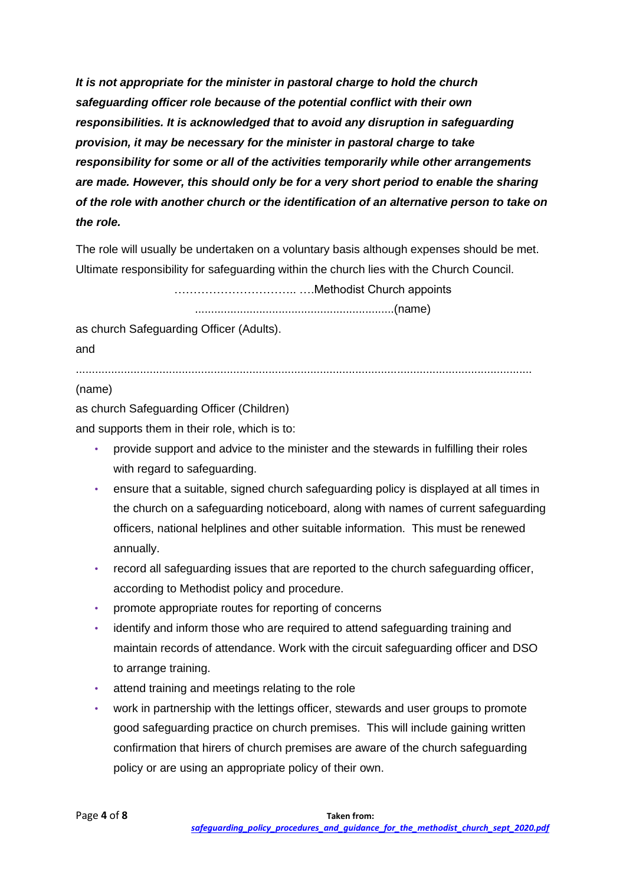*It is not appropriate for the minister in pastoral charge to hold the church safeguarding officer role because of the potential conflict with their own responsibilities. It is acknowledged that to avoid any disruption in safeguarding provision, it may be necessary for the minister in pastoral charge to take responsibility for some or all of the activities temporarily while other arrangements are made. However, this should only be for a very short period to enable the sharing of the role with another church or the identification of an alternative person to take on the role.* 

The role will usually be undertaken on a voluntary basis although expenses should be met. Ultimate responsibility for safeguarding within the church lies with the Church Council.

………………………….. ….Methodist Church appoints

..............................................................(name)

as church Safeguarding Officer (Adults). and

..............................................................................................................................................

#### (name)

as church Safeguarding Officer (Children) and supports them in their role, which is to:

- provide support and advice to the minister and the stewards in fulfilling their roles with regard to safeguarding.
- ensure that a suitable, signed church safeguarding policy is displayed at all times in the church on a safeguarding noticeboard, along with names of current safeguarding officers, national helplines and other suitable information. This must be renewed annually.
- record all safeguarding issues that are reported to the church safeguarding officer, according to Methodist policy and procedure.
- promote appropriate routes for reporting of concerns
- identify and inform those who are required to attend safeguarding training and maintain records of attendance. Work with the circuit safeguarding officer and DSO to arrange training.
- attend training and meetings relating to the role
- work in partnership with the lettings officer, stewards and user groups to promote good safeguarding practice on church premises. This will include gaining written confirmation that hirers of church premises are aware of the church safeguarding policy or are using an appropriate policy of their own.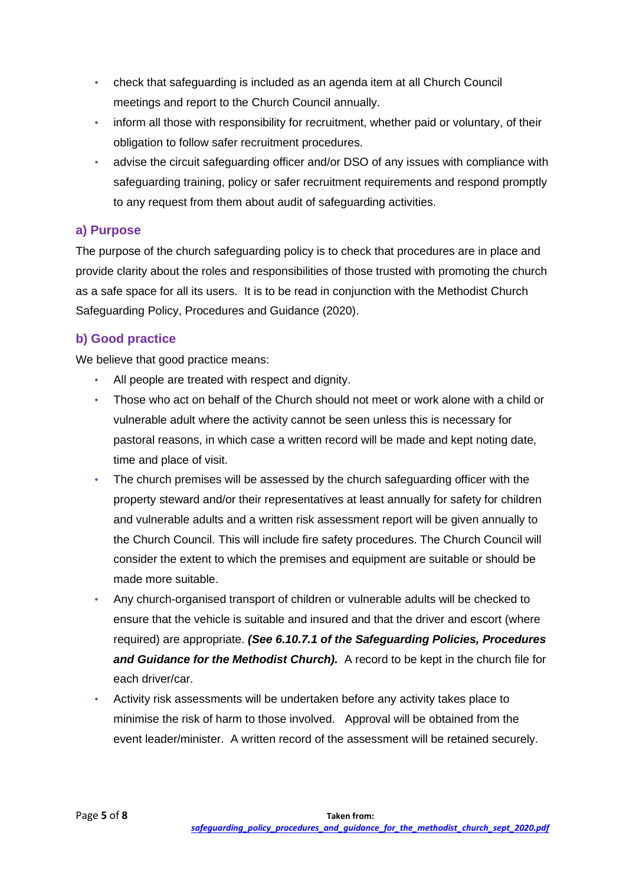- check that safeguarding is included as an agenda item at all Church Council meetings and report to the Church Council annually.
- inform all those with responsibility for recruitment, whether paid or voluntary, of their obligation to follow safer recruitment procedures.
- advise the circuit safeguarding officer and/or DSO of any issues with compliance with safeguarding training, policy or safer recruitment requirements and respond promptly to any request from them about audit of safeguarding activities.

### **a) Purpose**

The purpose of the church safeguarding policy is to check that procedures are in place and provide clarity about the roles and responsibilities of those trusted with promoting the church as a safe space for all its users. It is to be read in conjunction with the Methodist Church Safeguarding Policy, Procedures and Guidance (2020).

### **b) Good practice**

We believe that good practice means:

- All people are treated with respect and dignity.
- Those who act on behalf of the Church should not meet or work alone with a child or vulnerable adult where the activity cannot be seen unless this is necessary for pastoral reasons, in which case a written record will be made and kept noting date, time and place of visit.
- The church premises will be assessed by the church safeguarding officer with the property steward and/or their representatives at least annually for safety for children and vulnerable adults and a written risk assessment report will be given annually to the Church Council. This will include fire safety procedures. The Church Council will consider the extent to which the premises and equipment are suitable or should be made more suitable.
- Any church-organised transport of children or vulnerable adults will be checked to ensure that the vehicle is suitable and insured and that the driver and escort (where required) are appropriate. *(See 6.10.7.1 of the Safeguarding Policies, Procedures and Guidance for the Methodist Church).* A record to be kept in the church file for each driver/car.
- Activity risk assessments will be undertaken before any activity takes place to minimise the risk of harm to those involved. Approval will be obtained from the event leader/minister. A written record of the assessment will be retained securely.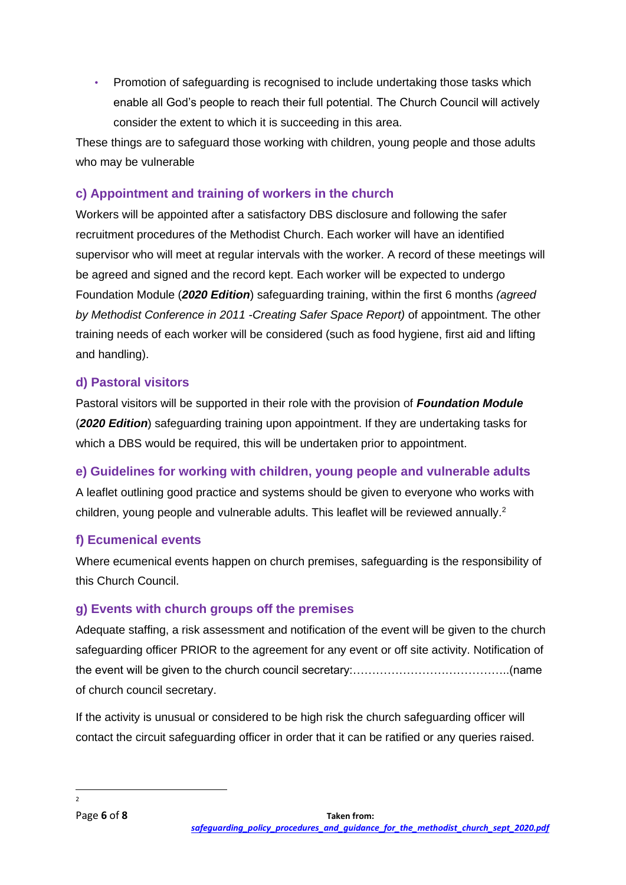• Promotion of safeguarding is recognised to include undertaking those tasks which enable all God's people to reach their full potential. The Church Council will actively consider the extent to which it is succeeding in this area.

These things are to safeguard those working with children, young people and those adults who may be vulnerable

# **c) Appointment and training of workers in the church**

Workers will be appointed after a satisfactory DBS disclosure and following the safer recruitment procedures of the Methodist Church. Each worker will have an identified supervisor who will meet at regular intervals with the worker. A record of these meetings will be agreed and signed and the record kept. Each worker will be expected to undergo Foundation Module (*2020 Edition*) safeguarding training, within the first 6 months *(agreed by Methodist Conference in 2011 -Creating Safer Space Report)* of appointment. The other training needs of each worker will be considered (such as food hygiene, first aid and lifting and handling).

### **d) Pastoral visitors**

Pastoral visitors will be supported in their role with the provision of *Foundation Module* (*2020 Edition*) safeguarding training upon appointment. If they are undertaking tasks for which a DBS would be required, this will be undertaken prior to appointment.

**e) Guidelines for working with children, young people and vulnerable adults** 

A leaflet outlining good practice and systems should be given to everyone who works with children, young people and vulnerable adults. This leaflet will be reviewed annually. $2$ 

### **f) Ecumenical events**

Where ecumenical events happen on church premises, safeguarding is the responsibility of this Church Council.

### **g) Events with church groups off the premises**

Adequate staffing, a risk assessment and notification of the event will be given to the church safeguarding officer PRIOR to the agreement for any event or off site activity. Notification of the event will be given to the church council secretary:…………………………………..(name of church council secretary.

If the activity is unusual or considered to be high risk the church safeguarding officer will contact the circuit safeguarding officer in order that it can be ratified or any queries raised.

 $\overline{2}$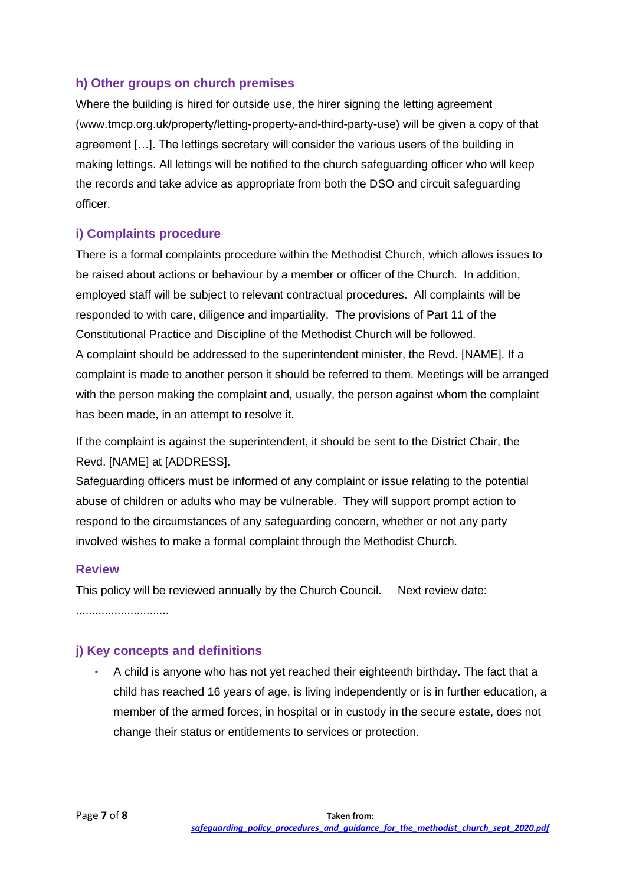### **h) Other groups on church premises**

Where the building is hired for outside use, the hirer signing the letting agreement (www.tmcp.org.uk/property/letting-property-and-third-party-use) will be given a copy of that agreement […]. The lettings secretary will consider the various users of the building in making lettings. All lettings will be notified to the church safeguarding officer who will keep the records and take advice as appropriate from both the DSO and circuit safeguarding officer.

### **i) Complaints procedure**

There is a formal complaints procedure within the Methodist Church, which allows issues to be raised about actions or behaviour by a member or officer of the Church. In addition, employed staff will be subject to relevant contractual procedures. All complaints will be responded to with care, diligence and impartiality. The provisions of Part 11 of the Constitutional Practice and Discipline of the Methodist Church will be followed. A complaint should be addressed to the superintendent minister, the Revd. [NAME]. If a complaint is made to another person it should be referred to them. Meetings will be arranged with the person making the complaint and, usually, the person against whom the complaint has been made, in an attempt to resolve it.

If the complaint is against the superintendent, it should be sent to the District Chair, the Revd. [NAME] at [ADDRESS].

Safeguarding officers must be informed of any complaint or issue relating to the potential abuse of children or adults who may be vulnerable. They will support prompt action to respond to the circumstances of any safeguarding concern, whether or not any party involved wishes to make a formal complaint through the Methodist Church.

#### **Review**

This policy will be reviewed annually by the Church Council. Next review date: .............................

#### **j) Key concepts and definitions**

• A child is anyone who has not yet reached their eighteenth birthday. The fact that a child has reached 16 years of age, is living independently or is in further education, a member of the armed forces, in hospital or in custody in the secure estate, does not change their status or entitlements to services or protection.